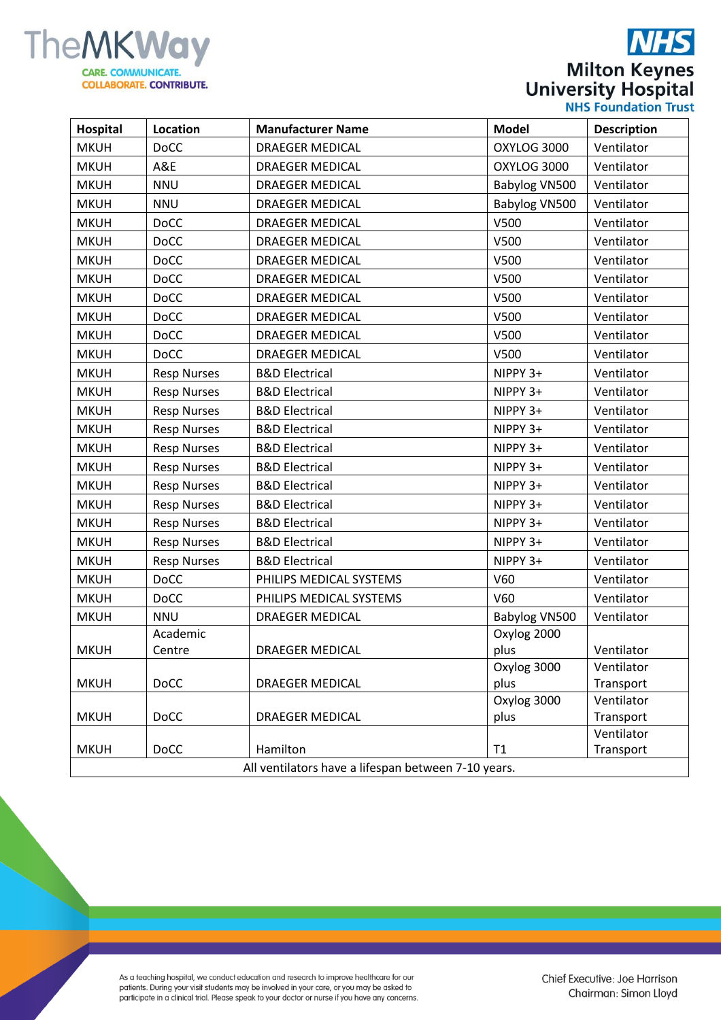

|                             | <b>NHS</b>           |
|-----------------------------|----------------------|
|                             | <b>Milton Keynes</b> |
| <b>University Hospital</b>  |                      |
| <b>NHS Foundation Trust</b> |                      |

| Hospital                                            | Location           | <b>Manufacturer Name</b>  | <b>Model</b>  | <b>Description</b>      |  |
|-----------------------------------------------------|--------------------|---------------------------|---------------|-------------------------|--|
| <b>MKUH</b>                                         | <b>DoCC</b>        | <b>DRAEGER MEDICAL</b>    | OXYLOG 3000   | Ventilator              |  |
| <b>MKUH</b>                                         | A&E                | <b>DRAEGER MEDICAL</b>    | OXYLOG 3000   | Ventilator              |  |
| <b>MKUH</b>                                         | <b>NNU</b>         | <b>DRAEGER MEDICAL</b>    | Babylog VN500 | Ventilator              |  |
| <b>MKUH</b>                                         | <b>NNU</b>         | <b>DRAEGER MEDICAL</b>    | Babylog VN500 | Ventilator              |  |
| <b>MKUH</b>                                         | <b>DoCC</b>        | <b>DRAEGER MEDICAL</b>    | V500          | Ventilator              |  |
| <b>MKUH</b>                                         | <b>DoCC</b>        | <b>DRAEGER MEDICAL</b>    | V500          | Ventilator              |  |
| <b>MKUH</b>                                         | <b>DoCC</b>        | <b>DRAEGER MEDICAL</b>    | V500          | Ventilator              |  |
| <b>MKUH</b>                                         | <b>DoCC</b>        | <b>DRAEGER MEDICAL</b>    | V500          | Ventilator              |  |
| <b>MKUH</b>                                         | <b>DoCC</b>        | <b>DRAEGER MEDICAL</b>    | V500          | Ventilator              |  |
| <b>MKUH</b>                                         | <b>DoCC</b>        | <b>DRAEGER MEDICAL</b>    | V500          | Ventilator              |  |
| <b>MKUH</b>                                         | <b>DoCC</b>        | <b>DRAEGER MEDICAL</b>    | V500          | Ventilator              |  |
| <b>MKUH</b>                                         | <b>DoCC</b>        | <b>DRAEGER MEDICAL</b>    | V500          | Ventilator              |  |
| <b>MKUH</b>                                         | <b>Resp Nurses</b> | <b>B&amp;D Electrical</b> | NIPPY 3+      | Ventilator              |  |
| <b>MKUH</b>                                         | <b>Resp Nurses</b> | <b>B&amp;D Electrical</b> | NIPPY 3+      | Ventilator              |  |
| <b>MKUH</b>                                         | <b>Resp Nurses</b> | <b>B&amp;D Electrical</b> | NIPPY 3+      | Ventilator              |  |
| <b>MKUH</b>                                         | <b>Resp Nurses</b> | <b>B&amp;D Electrical</b> | NIPPY 3+      | Ventilator              |  |
| <b>MKUH</b>                                         | <b>Resp Nurses</b> | <b>B&amp;D Electrical</b> | NIPPY 3+      | Ventilator              |  |
| <b>MKUH</b>                                         | <b>Resp Nurses</b> | <b>B&amp;D Electrical</b> | NIPPY 3+      | Ventilator              |  |
| <b>MKUH</b>                                         | <b>Resp Nurses</b> | <b>B&amp;D Electrical</b> | NIPPY 3+      | Ventilator              |  |
| <b>MKUH</b>                                         | <b>Resp Nurses</b> | <b>B&amp;D Electrical</b> | NIPPY 3+      | Ventilator              |  |
| <b>MKUH</b>                                         | <b>Resp Nurses</b> | <b>B&amp;D Electrical</b> | NIPPY 3+      | Ventilator              |  |
| <b>MKUH</b>                                         | <b>Resp Nurses</b> | <b>B&amp;D Electrical</b> | NIPPY 3+      | Ventilator              |  |
| <b>MKUH</b>                                         | <b>Resp Nurses</b> | <b>B&amp;D Electrical</b> | NIPPY 3+      | Ventilator              |  |
| <b>MKUH</b>                                         | <b>DoCC</b>        | PHILIPS MEDICAL SYSTEMS   | V60           | Ventilator              |  |
| <b>MKUH</b>                                         | <b>DoCC</b>        | PHILIPS MEDICAL SYSTEMS   | V60           | Ventilator              |  |
| <b>MKUH</b>                                         | <b>NNU</b>         | <b>DRAEGER MEDICAL</b>    | Babylog VN500 | Ventilator              |  |
|                                                     | Academic           |                           | Oxylog 2000   |                         |  |
| <b>MKUH</b>                                         | Centre             | <b>DRAEGER MEDICAL</b>    | plus          | Ventilator              |  |
|                                                     |                    |                           | Oxylog 3000   | Ventilator              |  |
| <b>MKUH</b>                                         | <b>DoCC</b>        | <b>DRAEGER MEDICAL</b>    | plus          | Transport               |  |
|                                                     |                    |                           | Oxylog 3000   | Ventilator              |  |
| <b>MKUH</b>                                         | <b>DoCC</b>        | <b>DRAEGER MEDICAL</b>    | plus          | Transport               |  |
| <b>MKUH</b>                                         | <b>DoCC</b>        | Hamilton                  | T1            | Ventilator<br>Transport |  |
| All ventilators have a lifespan between 7-10 years. |                    |                           |               |                         |  |

As a teaching hospital, we conduct education and research to improve healthcare for our<br>patients. During your visit students may be involved in your care, or you may be asked to<br>participate in a clinical trial. Please spea